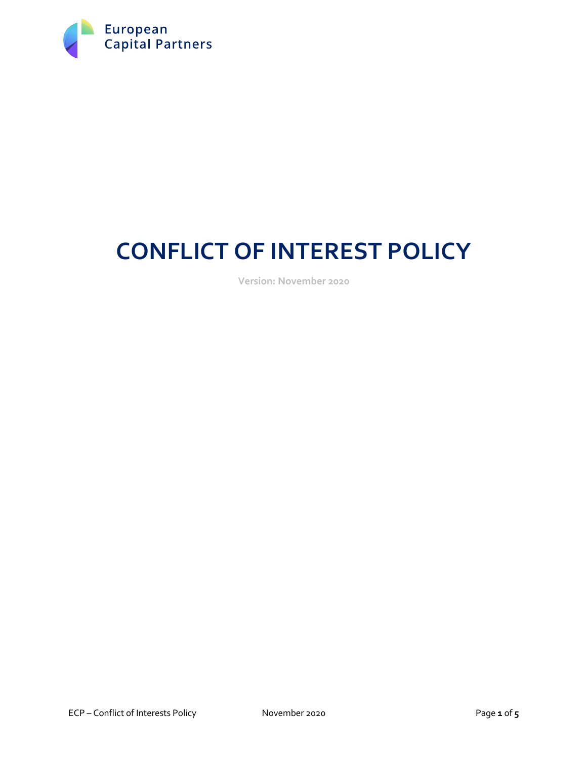

# **CONFLICT OF INTEREST POLICY**

**Version: November 2020**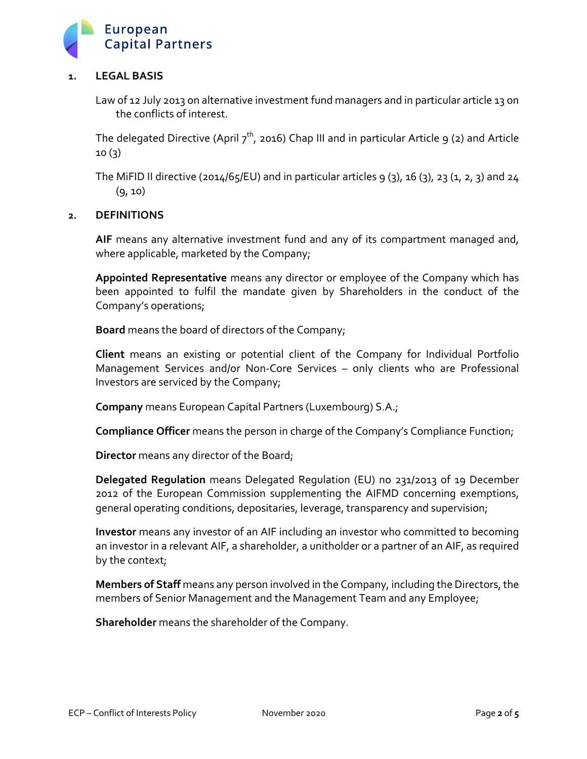

# **1. LEGAL BASIS**

Law of 12 July 2013 on alternative investment fund managers and in particular article 13 on the conflicts of interest.

The delegated Directive (April  $7<sup>th</sup>$ , 2016) Chap III and in particular Article 9 (2) and Article 10 (3)

The MiFID II directive (2014/65/EU) and in particular articles 9 (3), 16 (3), 23 (1, 2, 3) and 24  $(9, 10)$ 

### **2. DEFINITIONS**

**AIF** means any alternative investment fund and any of its compartment managed and, where applicable, marketed by the Company;

**Appointed Representative** means any director or employee of the Company which has been appointed to fulfil the mandate given by Shareholders in the conduct of the Company's operations;

**Board** means the board of directors of the Company;

**Client** means an existing or potential client of the Company for Individual Portfolio Management Services and/or Non-Core Services – only clients who are Professional Investors are serviced by the Company;

**Company** means European Capital Partners (Luxembourg) S.A.;

**Compliance Officer** means the person in charge of the Company's Compliance Function;

**Director** means any director of the Board;

**Delegated Regulation** means Delegated Regulation (EU) no 231/2013 of 19 December 2012 of the European Commission supplementing the AIFMD concerning exemptions, general operating conditions, depositaries, leverage, transparency and supervision;

**Investor** means any investor of an AIF including an investor who committed to becoming an investor in a relevant AIF, a shareholder, a unitholder or a partner of an AIF, as required by the context;

**Members of Staff** means any person involved in the Company, including the Directors, the members of Senior Management and the Management Team and any Employee;

**Shareholder** means the shareholder of the Company.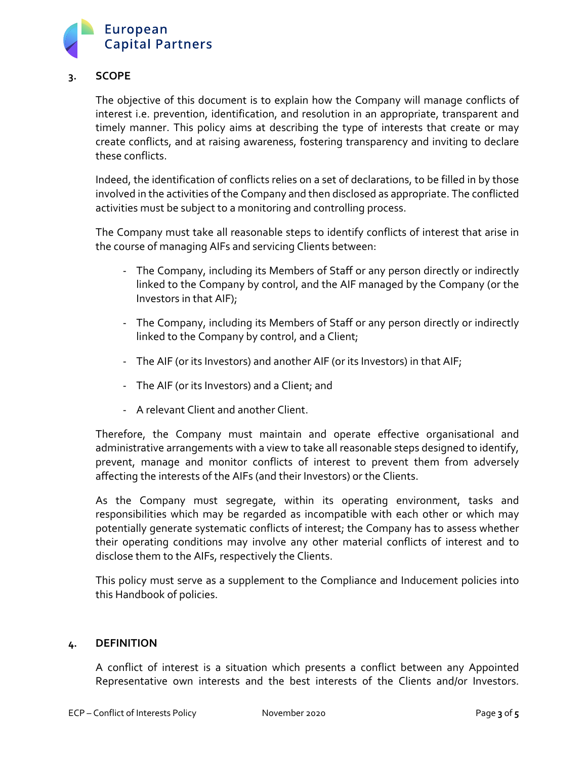

# **3. SCOPE**

The objective of this document is to explain how the Company will manage conflicts of interest i.e. prevention, identification, and resolution in an appropriate, transparent and timely manner. This policy aims at describing the type of interests that create or may create conflicts, and at raising awareness, fostering transparency and inviting to declare these conflicts.

Indeed, the identification of conflicts relies on a set of declarations, to be filled in by those involved in the activities of the Company and then disclosed as appropriate. The conflicted activities must be subject to a monitoring and controlling process.

The Company must take all reasonable steps to identify conflicts of interest that arise in the course of managing AIFs and servicing Clients between:

- The Company, including its Members of Staff or any person directly or indirectly linked to the Company by control, and the AIF managed by the Company (or the Investors in that AIF);
- The Company, including its Members of Staff or any person directly or indirectly linked to the Company by control, and a Client;
- The AIF (or its Investors) and another AIF (or its Investors) in that AIF;
- The AIF (or its Investors) and a Client; and
- A relevant Client and another Client.

Therefore, the Company must maintain and operate effective organisational and administrative arrangements with a view to take all reasonable steps designed to identify, prevent, manage and monitor conflicts of interest to prevent them from adversely affecting the interests of the AIFs (and their Investors) or the Clients.

As the Company must segregate, within its operating environment, tasks and responsibilities which may be regarded as incompatible with each other or which may potentially generate systematic conflicts of interest; the Company has to assess whether their operating conditions may involve any other material conflicts of interest and to disclose them to the AIFs, respectively the Clients.

This policy must serve as a supplement to the Compliance and Inducement policies into this Handbook of policies.

## **4. DEFINITION**

A conflict of interest is a situation which presents a conflict between any Appointed Representative own interests and the best interests of the Clients and/or Investors.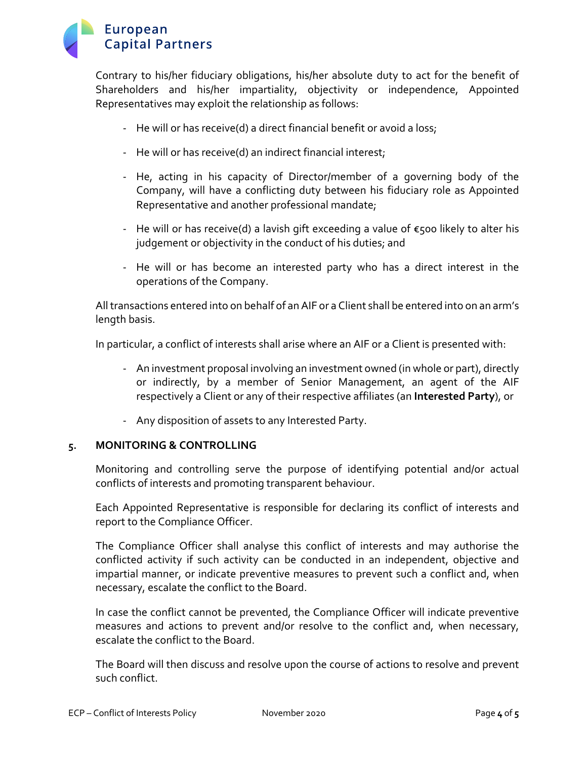

Contrary to his/her fiduciary obligations, his/her absolute duty to act for the benefit of Shareholders and his/her impartiality, objectivity or independence, Appointed Representatives may exploit the relationship as follows:

- He will or has receive(d) a direct financial benefit or avoid a loss;
- He will or has receive(d) an indirect financial interest;
- He, acting in his capacity of Director/member of a governing body of the Company, will have a conflicting duty between his fiduciary role as Appointed Representative and another professional mandate;
- He will or has receive(d) a lavish gift exceeding a value of  $€500$  likely to alter his judgement or objectivity in the conduct of his duties; and
- He will or has become an interested party who has a direct interest in the operations of the Company.

All transactions entered into on behalf of an AIF or a Client shall be entered into on an arm's length basis.

In particular, a conflict of interests shall arise where an AIF or a Client is presented with:

- An investment proposal involving an investment owned (in whole or part), directly or indirectly, by a member of Senior Management, an agent of the AIF respectively a Client or any of their respective affiliates (an **Interested Party**), or
- Any disposition of assets to any Interested Party.

## **5. MONITORING & CONTROLLING**

Monitoring and controlling serve the purpose of identifying potential and/or actual conflicts of interests and promoting transparent behaviour.

Each Appointed Representative is responsible for declaring its conflict of interests and report to the Compliance Officer.

The Compliance Officer shall analyse this conflict of interests and may authorise the conflicted activity if such activity can be conducted in an independent, objective and impartial manner, or indicate preventive measures to prevent such a conflict and, when necessary, escalate the conflict to the Board.

In case the conflict cannot be prevented, the Compliance Officer will indicate preventive measures and actions to prevent and/or resolve to the conflict and, when necessary, escalate the conflict to the Board.

The Board will then discuss and resolve upon the course of actions to resolve and prevent such conflict.